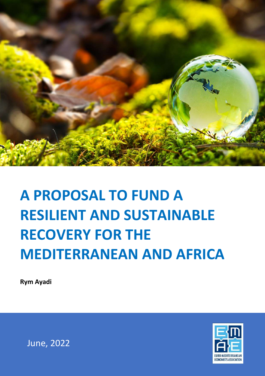

**Rym Ayadi**



June, 2022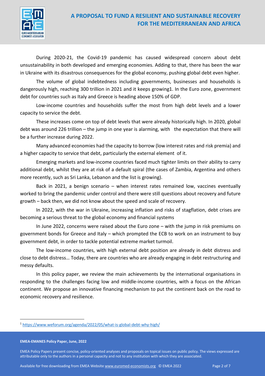

During 2020-21, the Covid-19 pandemic has caused widespread concern about debt unsustainability in both developed and emerging economies. Adding to that, there has been the war in Ukraine with its disastrous consequences for the global economy, pushing global debt even higher.

The volume of global indebtedness including governments, businesses and households is dangerously high, reaching 300 trillion in 2021 and it keeps growing1. In the Euro zone, government debt for countries such as Italy and Greece is heading above 150% of GDP.

Low-income countries and households suffer the most from high debt levels and a lower capacity to service the debt.

These increases come on top of debt levels that were already historically high. In 2020, global debt was around 226 trillion – the jump in one year is alarming, with the expectation that there will be a further increase during 2022.

Many advanced economies had the capacity to borrow (low interest rates and risk premia) and a higher capacity to service that debt, particularly the external element of it.

Emerging markets and low-income countries faced much tighter limits on their ability to carry additional debt, whilst they are at risk of a default spiral (the cases of Zambia, Argentina and others more recently, such as Sri Lanka, Lebanon and the list is growing).

Back in 2021, a benign scenario – when interest rates remained low, vaccines eventually worked to bring the pandemic under control and there were still questions about recovery and future growth – back then, we did not know about the speed and scale of recovery.

In 2022, with the war in Ukraine, increasing inflation and risks of stagflation, debt crises are becoming a serious threat to the global economy and financial systems

In June 2022, concerns were raised about the Euro zone – with the jump in risk premiums on government bonds for Greece and Italy – which prompted the ECB to work on an instrument to buy government debt, in order to tackle potential extreme market turmoil.

The low-income countries, with high external debt position are already in debt distress and close to debt distress… Today, there are countries who are already engaging in debt restructuring and messy defaults.

In this policy paper, we review the main achievements by the international organisations in responding to the challenges facing low and middle-income countries, with a focus on the African continent. We propose an innovative financing mechanism to put the continent back on the road to economic recovery and resilience.

<sup>1</sup> https://www.weforum.org/agenda/2022/05/what-is-global-debt-why-high/

**EMEA-EMANES Policy Paper, June, 2022**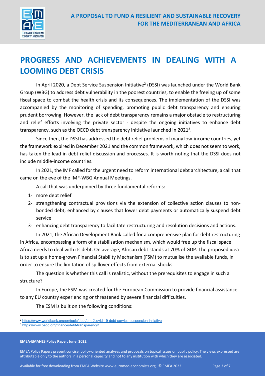

# **PROGRESS AND ACHIEVEMENTS IN DEALING WITH A LOOMING DEBT CRISIS**

In April 2020, a Debt Service Suspension Initiative<sup>2</sup> (DSSI) was launched under the World Bank Group (WBG) to address debt vulnerability in the poorest countries, to enable the freeing up of some fiscal space to combat the health crisis and its consequences. The implementation of the DSSI was accompanied by the monitoring of spending, promoting public debt transparency and ensuring prudent borrowing. However, the lack of debt transparency remains a major obstacle to restructuring and relief efforts involving the private sector - despite the ongoing initiatives to enhance debt transparency, such as the OECD debt transparency initiative launched in 2021<sup>3</sup>.

Since then, the DSSI has addressed the debt relief problems of many low-income countries, yet the framework expired in December 2021 and the common framework, which does not seem to work, has taken the lead in debt relief discussion and processes. It is worth noting that the DSSI does not include middle-income countries.

In 2021, the IMF called for the urgent need to reform international debt architecture, a call that came on the eve of the IMF-WBG Annual Meetings.

A call that was underpinned by three fundamental reforms:

- 1- more debt relief
- 2- strengthening contractual provisions via the extension of collective action clauses to nonbonded debt, enhanced by clauses that lower debt payments or automatically suspend debt service
- 3- enhancing debt transparency to facilitate restructuring and resolution decisions and actions.

In 2021, the African Development Bank called for a comprehensive plan for debt restructuring in Africa, encompassing a form of a stabilisation mechanism, which would free up the fiscal space Africa needs to deal with its debt. On average, African debt stands at 70% of GDP. The proposed idea is to set up a home-grown Financial Stability Mechanism (FSM) to mutualise the available funds, in order to ensure the limitation of spillover effects from external shocks.

The question is whether this call is realistic, without the prerequisites to engage in such a structure?

In Europe, the ESM was created for the European Commission to provide financial assistance to any EU country experiencing or threatened by severe financial difficulties.

The ESM is built on the following conditions:

**EMEA-EMANES Policy Paper, June, 2022**

<sup>2</sup> https://www.worldbank.org/en/topic/debt/brief/covid-19-debt-service-suspension-initiative

<sup>3</sup> https://www.oecd.org/finance/debt-transparency/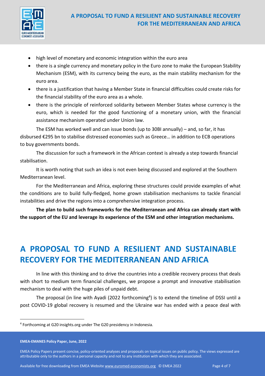

- high level of monetary and economic integration within the euro area
- there is a single currency and monetary policy in the Euro zone to make the European Stability Mechanism (ESM), with its currency being the euro, as the main stability mechanism for the euro area.
- there is a justification that having a Member State in financial difficulties could create risks for the financial stability of the euro area as a whole.
- there is the principle of reinforced solidarity between Member States whose currency is the euro, which is needed for the good functioning of a monetary union, with the financial assistance mechanism operated under Union law.

The ESM has worked well and can issue bonds (up to 30BI annually) – and, so far, it has disbursed €295 bn to stabilise distressed economies such as Greece… in addition to ECB operations to buy governments bonds.

The discussion for such a framework in the African context is already a step towards financial stabilisation.

It is worth noting that such an idea is not even being discussed and explored at the Southern Mediterranean level.

For the Mediterranean and Africa, exploring these structures could provide examples of what the conditions are to build fully-fledged, home grown stabilisation mechanisms to tackle financial instabilities and drive the regions into a comprehensive integration process.

**The plan to build such frameworks for the Mediterranean and Africa can already start with the support of the EU and leverage its experience of the ESM and other integration mechanisms.** 

# **A PROPOSAL TO FUND A RESILIENT AND SUSTAINABLE RECOVERY FOR THE MEDITERRANEAN AND AFRICA**

In line with this thinking and to drive the countries into a credible recovery process that deals with short to medium term financial challenges, we propose a prompt and innovative stabilisation mechanism to deal with the huge piles of unpaid debt.

The proposal (in line with Ayadi (2022 forthcoming<sup>4</sup>) is to extend the timeline of DSSI until a post COVID-19 global recovery is resumed and the Ukraine war has ended with a peace deal with

<sup>4</sup> Forthcoming at G20 insights.org under The G20 presidency in Indonesia.

**EMEA-EMANES Policy Paper, June, 2022**

EMEA Policy Papers present concise, policy-oriented analyses and proposals on topical issues on public policy. The views expressed are attributable only to the authors in a personal capacity and not to any institution with which they are associated.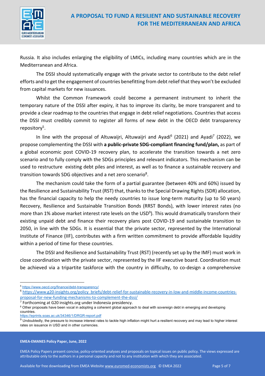

Russia. It also includes enlarging the eligibility of LMICs, including many countries which are in the Mediterranean and Africa.

The DSSI should systematically engage with the private sector to contribute to the debt relief efforts and to get the engagement of countries benefitting from debt relief that they won't be excluded from capital markets for new issuances.

Whilst the Common Framework could become a permanent instrument to inherit the temporary nature of the DSSI after expiry, it has to improve its clarity, be more transparent and to provide a clear roadmap to the countries that engage in debt relief negotiations. Countries that access the DSSI must credibly commit to register all forms of new debt in the OECD debt transparency repository<sup>5</sup>.

In line with the proposal of Altuwaijri, Altuwaijri and Ayadi<sup>6</sup> (2021) and Ayadi<sup>7</sup> (2022), we propose complementing the DSSI with **a public-private SDG-compliant financing fund/plan,** as part of a global economic post COVID-19 recovery plan, to accelerate the transition towards a net zero scenario and to fully comply with the SDGs principles and relevant indicators. This mechanism can be used to restructure existing debt piles and interest, as well as to finance a sustainable recovery and transition towards SDG objectives and a net zero scenario<sup>8</sup>.

The mechanism could take the form of a partial guarantee (between 40% and 60%) issued by the Resilience and Sustainability Trust (RST) that, thanks to the Special Drawing Rights (SDR) allocation, has the financial capacity to help the needy countries to issue long-term maturity (up to 50 years) Recovery, Resilience and Sustainable Transition Bonds (RRST Bonds), with lower interest rates (no more than 1% above market interest rate levels on the USD<sup>9</sup>). This would dramatically transform their existing unpaid debt and finance their recovery plans post COVID-19 and sustainable transition to 2050, in line with the SDGs. It is essential that the private sector, represented by the International Institute of Finance (IIF), contributes with a firm written commitment to provide affordable liquidity within a period of time for these countries.

The DSSI and Resilience and Sustainability Trust (RST) (recently set up by the IMF) must work in close coordination with the private sector, represented by the IIF executive board. Coordination must be achieved via a tripartite taskforce with the country in difficulty, to co-design a comprehensive

<sup>7</sup> Forthcoming at G20 insights.org under Indonesia presidency.

https://eprints.soas.ac.uk/34346/1/DRGR-report.pdf

#### **EMEA-EMANES Policy Paper, June, 2022**

<sup>5</sup> https://www.oecd.org/finance/debt-transparency/

<sup>&</sup>lt;sup>6</sup> https://www.g20-insights.org/policy briefs/debt-relief-for-sustainable-recovery-in-low-and-middle-income-countriesproposal-for-new-funding-mechanisms-to-complement-the-dssi/

<sup>&</sup>lt;sup>8</sup> Other proposals have been vocal in adopting a coherent global approach to deal with sovereign debt in emerging and developing countries.

<sup>&</sup>lt;sup>9</sup> Undoubtedly, the pressure to increase interest rates to tackle high inflation might hurt a resilient recovery and may lead to higher interest rates on issuance in USD and in other currencies.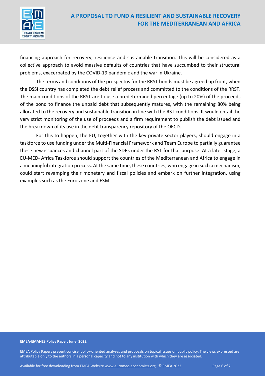

financing approach for recovery, resilience and sustainable transition. This will be considered as a collective approach to avoid massive defaults of countries that have succumbed to their structural problems, exacerbated by the COVID-19 pandemic and the war in Ukraine.

The terms and conditions of the prospectus for the RRST bonds must be agreed up front, when the DSSI country has completed the debt relief process and committed to the conditions of the RRST. The main conditions of the RRST are to use a predetermined percentage (up to 20%) of the proceeds of the bond to finance the unpaid debt that subsequently matures, with the remaining 80% being allocated to the recovery and sustainable transition in line with the RST conditions. It would entail the very strict monitoring of the use of proceeds and a firm requirement to publish the debt issued and the breakdown of its use in the debt transparency repository of the OECD.

For this to happen, the EU, together with the key private sector players, should engage in a taskforce to use funding under the Multi-Financial Framework and Team Europe to partially guarantee these new issuances and channel part of the SDRs under the RST for that purpose. At a later stage, a EU-MED- Africa Taskforce should support the countries of the Mediterranean and Africa to engage in a meaningful integration process. At the same time, these countries, who engage in such a mechanism, could start revamping their monetary and fiscal policies and embark on further integration, using examples such as the Euro zone and ESM.

#### **EMEA-EMANES Policy Paper, June, 2022**